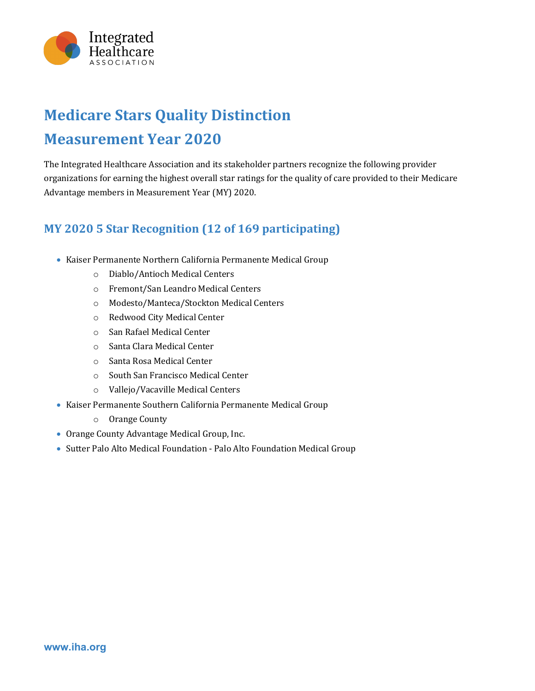

## **Medicare Stars Quality Distinction Measurement Year 2020**

The Integrated Healthcare Association and its stakeholder partners recognize the following provider organizations for earning the highest overall star ratings for the quality of care provided to their Medicare Advantage members in Measurement Year (MY) 2020.

## **MY 2020 5 Star Recognition (12 of 169 participating)**

- Kaiser Permanente Northern California Permanente Medical Group
	- o Diablo/Antioch Medical Centers
	- o Fremont/San Leandro Medical Centers
	- o Modesto/Manteca/Stockton Medical Centers
	- o Redwood City Medical Center
	- o San Rafael Medical Center
	- o Santa Clara Medical Center
	- o Santa Rosa Medical Center
	- o South San Francisco Medical Center
	- o Vallejo/Vacaville Medical Centers
- Kaiser Permanente Southern California Permanente Medical Group
	- o Orange County
- Orange County Advantage Medical Group, Inc.
- Sutter Palo Alto Medical Foundation Palo Alto Foundation Medical Group